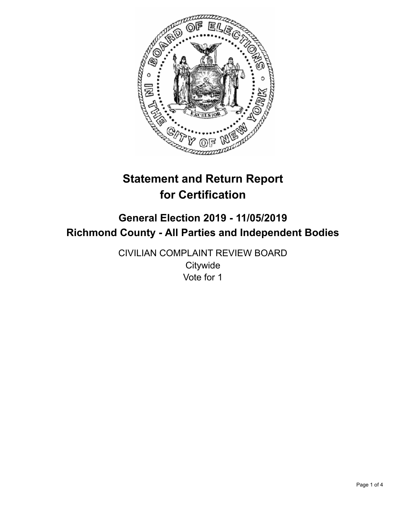

# **Statement and Return Report for Certification**

## **General Election 2019 - 11/05/2019 Richmond County - All Parties and Independent Bodies**

CIVILIAN COMPLAINT REVIEW BOARD **Citywide** Vote for 1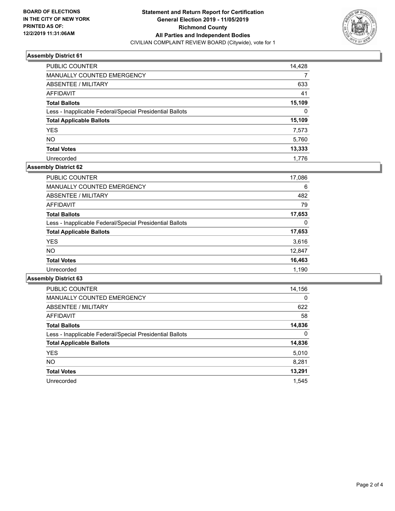

### **Assembly District 61**

| PUBLIC COUNTER                                           | 14,428 |
|----------------------------------------------------------|--------|
| MANUALLY COUNTED EMERGENCY                               |        |
| ABSENTEE / MILITARY                                      | 633    |
| AFFIDAVIT                                                | 41     |
| <b>Total Ballots</b>                                     | 15,109 |
| Less - Inapplicable Federal/Special Presidential Ballots | 0      |
| <b>Total Applicable Ballots</b>                          | 15,109 |
| <b>YES</b>                                               | 7.573  |
| <b>NO</b>                                                | 5,760  |
| <b>Total Votes</b>                                       | 13,333 |
| Unrecorded                                               | 1.776  |

#### **Assembly District 62**

| <b>PUBLIC COUNTER</b>                                    | 17,086 |
|----------------------------------------------------------|--------|
| <b>MANUALLY COUNTED EMERGENCY</b>                        | 6      |
| ABSENTEE / MILITARY                                      | 482    |
| AFFIDAVIT                                                | 79     |
| <b>Total Ballots</b>                                     | 17,653 |
| Less - Inapplicable Federal/Special Presidential Ballots | 0      |
| <b>Total Applicable Ballots</b>                          | 17,653 |
| <b>YES</b>                                               | 3,616  |
| NO.                                                      | 12,847 |
| <b>Total Votes</b>                                       | 16,463 |
| Unrecorded                                               | 1.190  |

#### **Assembly District 63**

| <b>PUBLIC COUNTER</b>                                    | 14,156   |
|----------------------------------------------------------|----------|
| <b>MANUALLY COUNTED EMERGENCY</b>                        | $\Omega$ |
| ABSENTEE / MILITARY                                      | 622      |
| <b>AFFIDAVIT</b>                                         | 58       |
| <b>Total Ballots</b>                                     | 14,836   |
| Less - Inapplicable Federal/Special Presidential Ballots | $\Omega$ |
| <b>Total Applicable Ballots</b>                          | 14,836   |
| <b>YES</b>                                               | 5,010    |
| <b>NO</b>                                                | 8,281    |
| <b>Total Votes</b>                                       | 13,291   |
| Unrecorded                                               | 1.545    |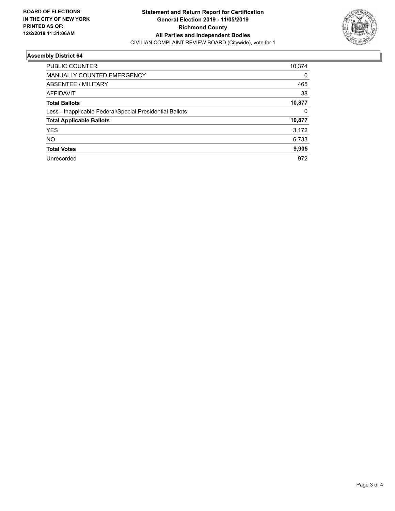

#### **Assembly District 64**

| <b>PUBLIC COUNTER</b>                                    | 10,374   |
|----------------------------------------------------------|----------|
| MANUALLY COUNTED EMERGENCY                               | $\Omega$ |
| ABSENTEE / MILITARY                                      | 465      |
| <b>AFFIDAVIT</b>                                         | 38       |
| <b>Total Ballots</b>                                     | 10,877   |
| Less - Inapplicable Federal/Special Presidential Ballots | 0        |
| <b>Total Applicable Ballots</b>                          | 10,877   |
| <b>YES</b>                                               | 3,172    |
| <b>NO</b>                                                | 6,733    |
| <b>Total Votes</b>                                       | 9,905    |
| Unrecorded                                               | 972      |